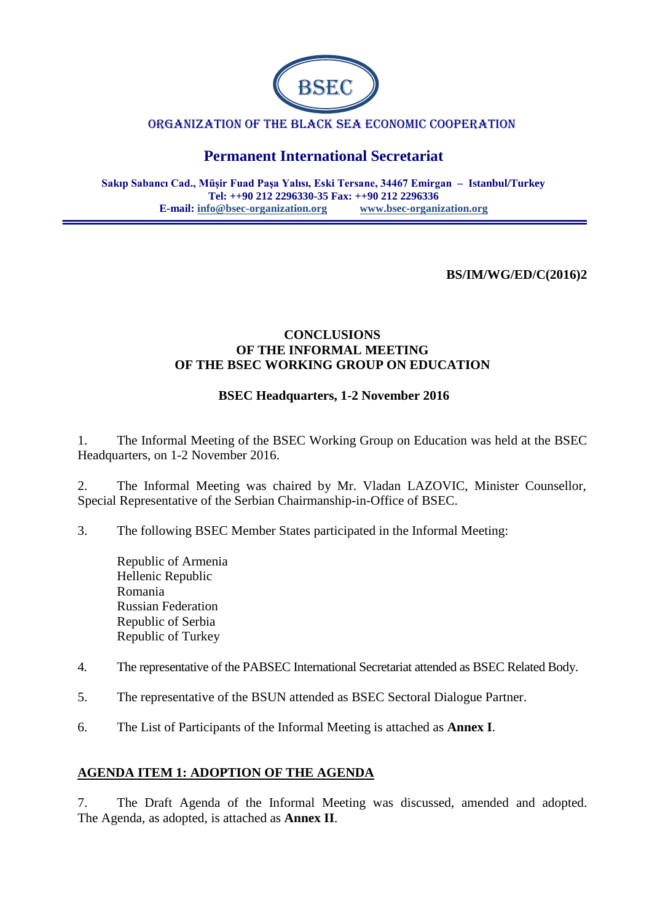

# ORGANIZATION OF THE BLACK SEA ECONOMIC COOPERATION

# **Permanent International Secretariat**

**Sakıp Sabancı Cad., Müşir Fuad Paşa Yalısı, Eski Tersane, 34467 Emirgan – Istanbul/Turkey Tel: ++90 212 2296330-35 Fax: ++90 212 2296336 E-mail: [info@bsec-organization.org](mailto:info@bsec-organization.org) [www.bsec-organization.org](http://www.bsec-organization.org/)**

**BS/IM/WG/ED/C(2016)2**

#### **CONCLUSIONS OF THE INFORMAL MEETING OF THE BSEC WORKING GROUP ON EDUCATION**

#### **BSEC Headquarters, 1-2 November 2016**

1. The Informal Meeting of the BSEC Working Group on Education was held at the BSEC Headquarters, on 1-2 November 2016.

2. The Informal Meeting was chaired by Mr. Vladan LAZOVIC, Minister Counsellor, Special Representative of the Serbian Chairmanship-in-Office of BSEC.

- 3. The following BSEC Member States participated in the Informal Meeting:
	- Republic of Armenia Hellenic Republic Romania Russian Federation Republic of Serbia Republic of Turkey
- 4. The representative of the PABSEC International Secretariat attended as BSEC Related Body.
- 5. The representative of the BSUN attended as BSEC Sectoral Dialogue Partner.
- 6. The List of Participants of the Informal Meeting is attached as **Annex I**.

#### **AGENDA ITEM 1: ADOPTION OF THE AGENDA**

7. The Draft Agenda of the Informal Meeting was discussed, amended and adopted. The Agenda, as adopted, is attached as **Annex II**.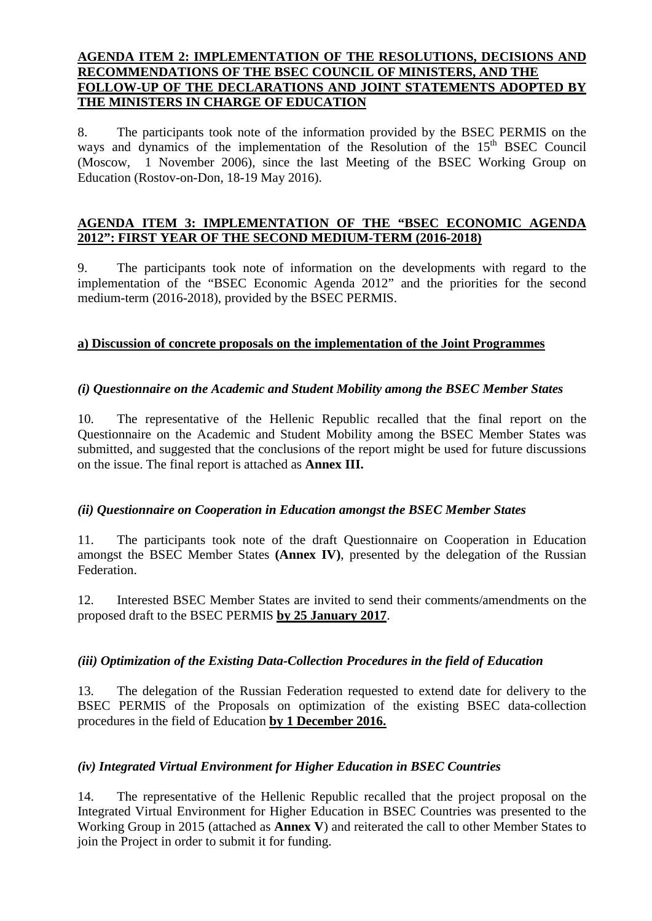#### **AGENDA ITEM 2: IMPLEMENTATION OF THE RESOLUTIONS, DECISIONS AND RECOMMENDATIONS OF THE BSEC COUNCIL OF MINISTERS, AND THE FOLLOW-UP OF THE DECLARATIONS AND JOINT STATEMENTS ADOPTED BY THE MINISTERS IN CHARGE OF EDUCATION**

8. The participants took note of the information provided by the BSEC PERMIS on the ways and dynamics of the implementation of the Resolution of the 15<sup>th</sup> BSEC Council (Moscow, 1 November 2006), since the last Meeting of the BSEC Working Group on Education (Rostov-on-Don, 18-19 May 2016).

# **AGENDA ITEM 3: IMPLEMENTATION OF THE "BSEC ECONOMIC AGENDA 2012": FIRST YEAR OF THE SECOND MEDIUM-TERM (2016-2018)**

9. The participants took note of information on the developments with regard to the implementation of the "BSEC Economic Agenda 2012" and the priorities for the second medium-term (2016-2018), provided by the BSEC PERMIS.

### **a) Discussion of concrete proposals on the implementation of the Joint Programmes**

#### *(i) Questionnaire on the Academic and Student Mobility among the BSEC Member States*

10. The representative of the Hellenic Republic recalled that the final report on the Questionnaire on the Academic and Student Mobility among the BSEC Member States was submitted, and suggested that the conclusions of the report might be used for future discussions on the issue. The final report is attached as **Annex III.**

#### *(ii) Questionnaire on Cooperation in Education amongst the BSEC Member States*

11. The participants took note of the draft Questionnaire on Cooperation in Education amongst the BSEC Member States **(Annex IV)**, presented by the delegation of the Russian Federation.

12. Interested BSEC Member States are invited to send their comments/amendments on the proposed draft to the BSEC PERMIS **by 25 January 2017**.

### *(iii) Optimization of the Existing Data-Collection Procedures in the field of Education*

13. The delegation of the Russian Federation requested to extend date for delivery to the BSEC PERMIS of the Proposals on optimization of the existing BSEC data-collection procedures in the field of Education **by 1 December 2016.**

### *(iv) Integrated Virtual Environment for Higher Education in BSEC Countries*

14. The representative of the Hellenic Republic recalled that the project proposal on the Integrated Virtual Environment for Higher Education in BSEC Countries was presented to the Working Group in 2015 (attached as **Annex V**) and reiterated the call to other Member States to join the Project in order to submit it for funding.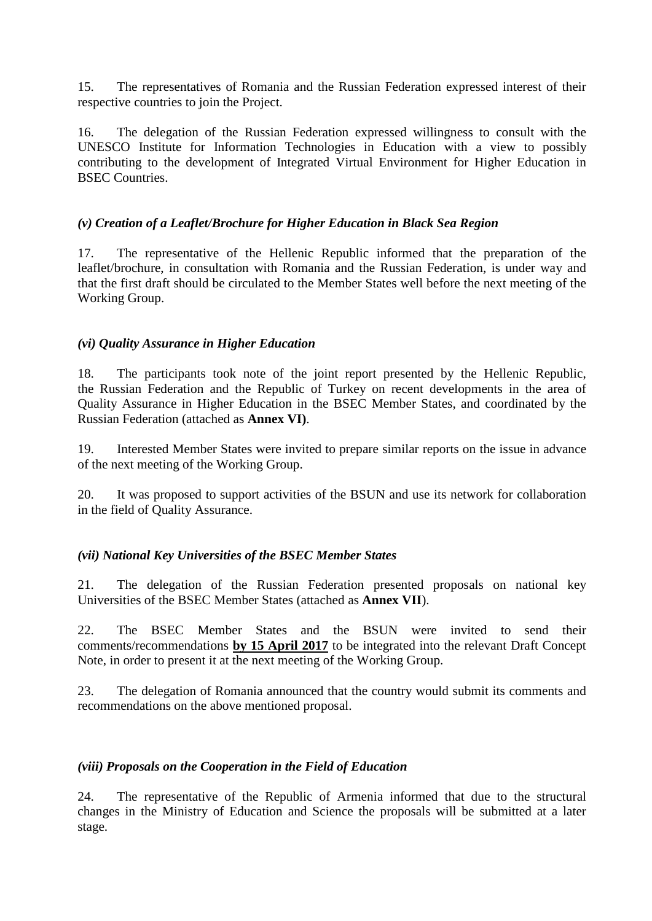15. The representatives of Romania and the Russian Federation expressed interest of their respective countries to join the Project.

16. The delegation of the Russian Federation expressed willingness to consult with the UNESCO Institute for Information Technologies in Education with a view to possibly contributing to the development of Integrated Virtual Environment for Higher Education in BSEC Countries.

### *(v) Creation of a Leaflet/Brochure for Higher Education in Black Sea Region*

17. The representative of the Hellenic Republic informed that the preparation of the leaflet/brochure, in consultation with Romania and the Russian Federation, is under way and that the first draft should be circulated to the Member States well before the next meeting of the Working Group.

#### *(vi) Quality Assurance in Higher Education*

18. The participants took note of the joint report presented by the Hellenic Republic, the Russian Federation and the Republic of Turkey on recent developments in the area of Quality Assurance in Higher Education in the BSEC Member States, and coordinated by the Russian Federation (attached as **Annex VI)**.

19. Interested Member States were invited to prepare similar reports on the issue in advance of the next meeting of the Working Group.

20. It was proposed to support activities of the BSUN and use its network for collaboration in the field of Quality Assurance.

#### *(vii) National Key Universities of the BSEC Member States*

21. The delegation of the Russian Federation presented proposals on national key Universities of the BSEC Member States (attached as **Annex VII**).

22. The BSEC Member States and the BSUN were invited to send their comments/recommendations **by 15 April 2017** to be integrated into the relevant Draft Concept Note, in order to present it at the next meeting of the Working Group.

23. The delegation of Romania announced that the country would submit its comments and recommendations on the above mentioned proposal.

#### *(viii) Proposals on the Cooperation in the Field of Education*

24. The representative of the Republic of Armenia informed that due to the structural changes in the Ministry of Education and Science the proposals will be submitted at a later stage.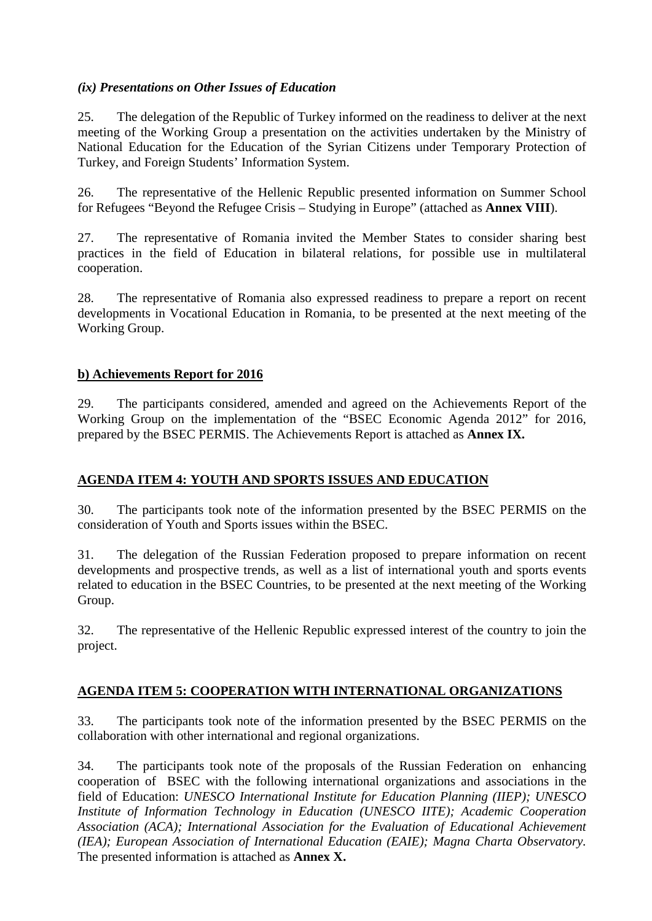# *(ix) Presentations on Other Issues of Education*

25. The delegation of the Republic of Turkey informed on the readiness to deliver at the next meeting of the Working Group a presentation on the activities undertaken by the Ministry of National Education for the Education of the Syrian Citizens under Temporary Protection of Turkey, and Foreign Students' Information System.

26. The representative of the Hellenic Republic presented information on Summer School for Refugees "Beyond the Refugee Crisis – Studying in Europe" (attached as **Annex VIII**).

27. The representative of Romania invited the Member States to consider sharing best practices in the field of Education in bilateral relations, for possible use in multilateral cooperation.

28. The representative of Romania also expressed readiness to prepare a report on recent developments in Vocational Education in Romania, to be presented at the next meeting of the Working Group.

### **b) Achievements Report for 2016**

29. The participants considered, amended and agreed on the Achievements Report of the Working Group on the implementation of the "BSEC Economic Agenda 2012" for 2016, prepared by the BSEC PERMIS. The Achievements Report is attached as **Annex IX.**

### **AGENDA ITEM 4: YOUTH AND SPORTS ISSUES AND EDUCATION**

30. The participants took note of the information presented by the BSEC PERMIS on the consideration of Youth and Sports issues within the BSEC.

31. The delegation of the Russian Federation proposed to prepare information on recent developments and prospective trends, as well as a list of international youth and sports events related to education in the BSEC Countries, to be presented at the next meeting of the Working Group.

32. The representative of the Hellenic Republic expressed interest of the country to join the project.

### **AGENDA ITEM 5: COOPERATION WITH INTERNATIONAL ORGANIZATIONS**

33. The participants took note of the information presented by the BSEC PERMIS on the collaboration with other international and regional organizations.

34. The participants took note of the proposals of the Russian Federation on enhancing cooperation of BSEC with the following international organizations and associations in the field of Education: *UNESCO International Institute for Education Planning (IIEP); UNESCO Institute of Information Technology in Education (UNESCO IITE); Academic Cooperation Association (ACA); International Association for the Evaluation of Educational Achievement (IEA); European Association of International Education (EAIE); Magna Charta Observatory.*  The presented information is attached as **Annex X.**